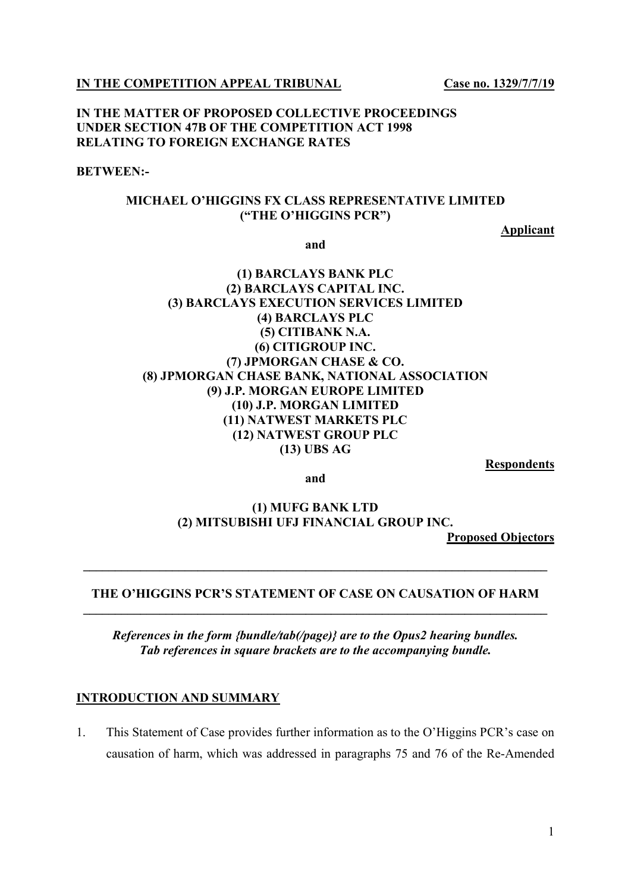IN THE COMPETITION APPEAL TRIBUNAL Case no. 1329/7/7/19

#### IN THE MATTER OF PROPOSED COLLECTIVE PROCEEDINGS UNDER SECTION 47B OF THE COMPETITION ACT 1998 RELATING TO FOREIGN EXCHANGE RATES

#### BETWEEN:-

#### MICHAEL O'HIGGINS FX CLASS REPRESENTATIVE LIMITED ("THE O'HIGGINS PCR")

Applicant

and

## (1) BARCLAYS BANK PLC (2) BARCLAYS CAPITAL INC. (3) BARCLAYS EXECUTION SERVICES LIMITED (4) BARCLAYS PLC (5) CITIBANK N.A. (6) CITIGROUP INC. (7) JPMORGAN CHASE & CO. (8) JPMORGAN CHASE BANK, NATIONAL ASSOCIATION (9) J.P. MORGAN EUROPE LIMITED (10) J.P. MORGAN LIMITED (11) NATWEST MARKETS PLC (12) NATWEST GROUP PLC (13) UBS AG

Respondents

and

(1) MUFG BANK LTD (2) MITSUBISHI UFJ FINANCIAL GROUP INC.

Proposed Objectors

#### THE O'HIGGINS PCR'S STATEMENT OF CASE ON CAUSATION OF HARM \_\_\_\_\_\_\_\_\_\_\_\_\_\_\_\_\_\_\_\_\_\_\_\_\_\_\_\_\_\_\_\_\_\_\_\_\_\_\_\_\_\_\_\_\_\_\_\_\_\_\_\_\_\_\_\_\_\_\_\_\_\_\_\_\_\_\_\_\_\_\_\_\_

 $\mathcal{L}_\text{max} = \mathcal{L}_\text{max} = \mathcal{L}_\text{max} = \mathcal{L}_\text{max} = \mathcal{L}_\text{max} = \mathcal{L}_\text{max} = \mathcal{L}_\text{max} = \mathcal{L}_\text{max} = \mathcal{L}_\text{max} = \mathcal{L}_\text{max} = \mathcal{L}_\text{max} = \mathcal{L}_\text{max} = \mathcal{L}_\text{max} = \mathcal{L}_\text{max} = \mathcal{L}_\text{max} = \mathcal{L}_\text{max} = \mathcal{L}_\text{max} = \mathcal{L}_\text{max} = \mathcal{$ 

References in the form {bundle/tab(/page)} are to the Opus2 hearing bundles. Tab references in square brackets are to the accompanying bundle.

#### INTRODUCTION AND SUMMARY

1. This Statement of Case provides further information as to the O'Higgins PCR's case on causation of harm, which was addressed in paragraphs 75 and 76 of the Re-Amended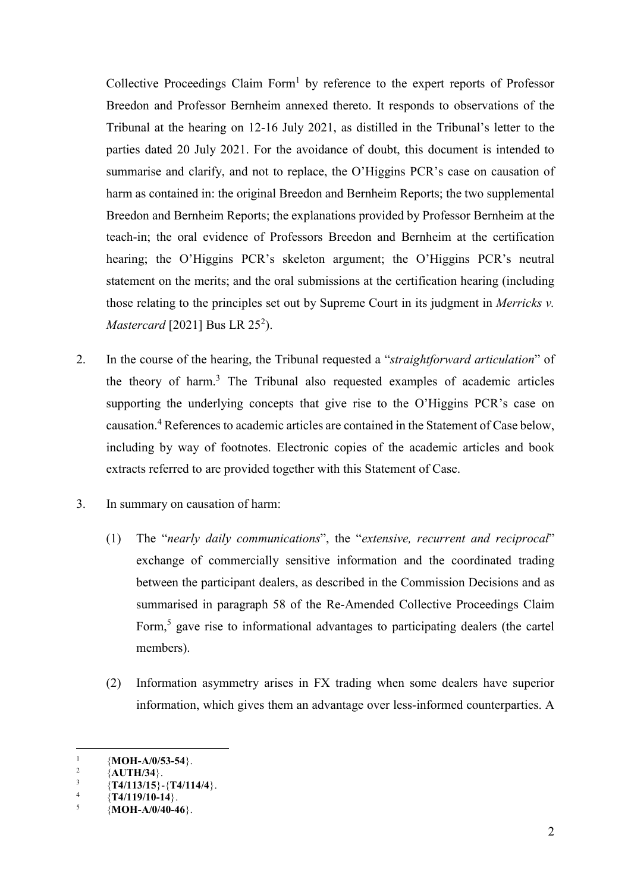Collective Proceedings Claim Form<sup>1</sup> by reference to the expert reports of Professor Breedon and Professor Bernheim annexed thereto. It responds to observations of the Tribunal at the hearing on 12-16 July 2021, as distilled in the Tribunal's letter to the parties dated 20 July 2021. For the avoidance of doubt, this document is intended to summarise and clarify, and not to replace, the O'Higgins PCR's case on causation of harm as contained in: the original Breedon and Bernheim Reports; the two supplemental Breedon and Bernheim Reports; the explanations provided by Professor Bernheim at the teach-in; the oral evidence of Professors Breedon and Bernheim at the certification hearing; the O'Higgins PCR's skeleton argument; the O'Higgins PCR's neutral statement on the merits; and the oral submissions at the certification hearing (including those relating to the principles set out by Supreme Court in its judgment in Merricks v. *Mastercard* [2021] Bus LR 25<sup>2</sup>).

- 2. In the course of the hearing, the Tribunal requested a "straightforward articulation" of the theory of harm.<sup>3</sup> The Tribunal also requested examples of academic articles supporting the underlying concepts that give rise to the O'Higgins PCR's case on causation.<sup>4</sup> References to academic articles are contained in the Statement of Case below, including by way of footnotes. Electronic copies of the academic articles and book extracts referred to are provided together with this Statement of Case.
- 3. In summary on causation of harm:
	- (1) The "nearly daily communications", the "extensive, recurrent and reciprocal" exchange of commercially sensitive information and the coordinated trading between the participant dealers, as described in the Commission Decisions and as summarised in paragraph 58 of the Re-Amended Collective Proceedings Claim Form,<sup>5</sup> gave rise to informational advantages to participating dealers (the cartel members).
	- (2) Information asymmetry arises in FX trading when some dealers have superior information, which gives them an advantage over less-informed counterparties. A

<sup>1</sup> {MOH-A/0/53-54}.

<sup>2</sup> {AUTH/34}.

<sup>3</sup>  ${T4/113/15}$  - {T4/114/4}.

<sup>4</sup>  ${T4/119/10-14}$ .

<sup>5</sup>  ${MOH-A/0/40-46}$ .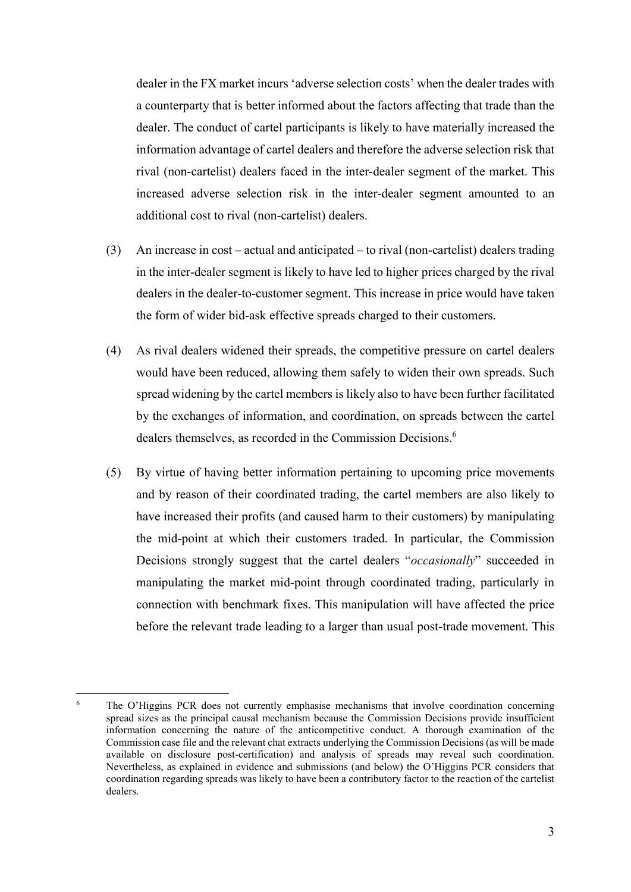dealer in the FX market incurs 'adverse selection costs' when the dealer trades with a counterparty that is better informed about the factors affecting that trade than the dealer. The conduct of cartel participants is likely to have materially increased the information advantage of cartel dealers and therefore the adverse selection risk that rival (non-cartelist) dealers faced in the inter-dealer segment of the market. This increased adverse selection risk in the inter-dealer segment amounted to an additional cost to rival (non-cartelist) dealers.

- (3) An increase in cost actual and anticipated to rival (non-cartelist) dealers trading in the inter-dealer segment is likely to have led to higher prices charged by the rival dealers in the dealer-to-customer segment. This increase in price would have taken the form of wider bid-ask effective spreads charged to their customers.
- (4) As rival dealers widened their spreads, the competitive pressure on cartel dealers would have been reduced, allowing them safely to widen their own spreads. Such spread widening by the cartel members is likely also to have been further facilitated by the exchanges of information, and coordination, on spreads between the cartel dealers themselves, as recorded in the Commission Decisions.<sup>6</sup>
- (5) By virtue of having better information pertaining to upcoming price movements and by reason of their coordinated trading, the cartel members are also likely to have increased their profits (and caused harm to their customers) by manipulating the mid-point at which their customers traded. In particular, the Commission Decisions strongly suggest that the cartel dealers "occasionally" succeeded in manipulating the market mid-point through coordinated trading, particularly in connection with benchmark fixes. This manipulation will have affected the price before the relevant trade leading to a larger than usual post-trade movement. This

 $\frac{1}{6}$  The O'Higgins PCR does not currently emphasise mechanisms that involve coordination concerning spread sizes as the principal causal mechanism because the Commission Decisions provide insufficient information concerning the nature of the anticompetitive conduct. A thorough examination of the Commission case file and the relevant chat extracts underlying the Commission Decisions (as will be made available on disclosure post-certification) and analysis of spreads may reveal such coordination. Nevertheless, as explained in evidence and submissions (and below) the O'Higgins PCR considers that coordination regarding spreads was likely to have been a contributory factor to the reaction of the cartelist dealers.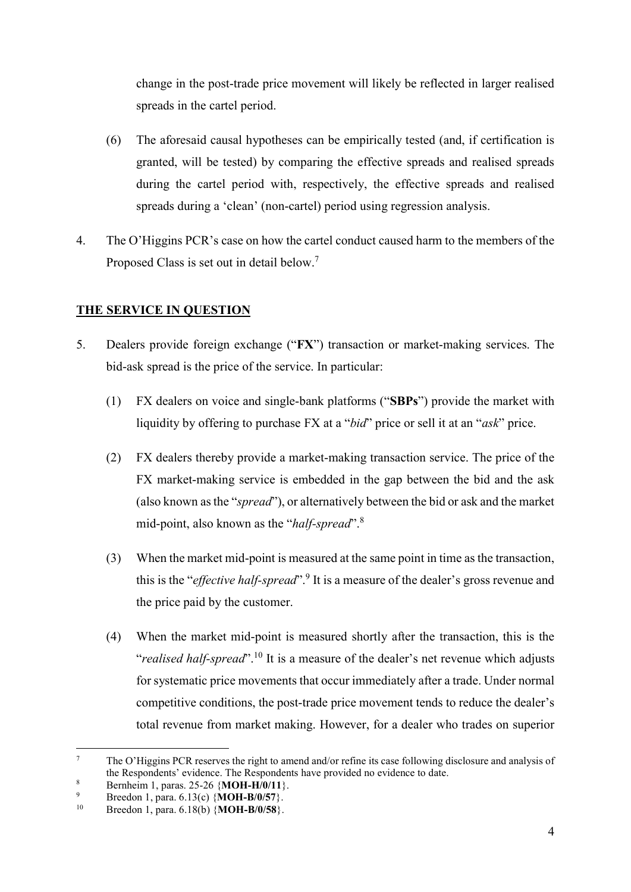change in the post-trade price movement will likely be reflected in larger realised spreads in the cartel period.

- (6) The aforesaid causal hypotheses can be empirically tested (and, if certification is granted, will be tested) by comparing the effective spreads and realised spreads during the cartel period with, respectively, the effective spreads and realised spreads during a 'clean' (non-cartel) period using regression analysis.
- 4. The O'Higgins PCR's case on how the cartel conduct caused harm to the members of the Proposed Class is set out in detail below.<sup>7</sup>

## THE SERVICE IN QUESTION

- 5. Dealers provide foreign exchange ("FX") transaction or market-making services. The bid-ask spread is the price of the service. In particular:
	- (1) FX dealers on voice and single-bank platforms ("SBPs") provide the market with liquidity by offering to purchase FX at a "*bid*" price or sell it at an "*ask*" price.
	- (2) FX dealers thereby provide a market-making transaction service. The price of the FX market-making service is embedded in the gap between the bid and the ask (also known as the "*spread*"), or alternatively between the bid or ask and the market mid-point, also known as the "half-spread".<sup>8</sup>
	- (3) When the market mid-point is measured at the same point in time as the transaction, this is the "*effective half-spread*".<sup>9</sup> It is a measure of the dealer's gross revenue and the price paid by the customer.
	- (4) When the market mid-point is measured shortly after the transaction, this is the "realised half-spread".<sup>10</sup> It is a measure of the dealer's net revenue which adjusts for systematic price movements that occur immediately after a trade. Under normal competitive conditions, the post-trade price movement tends to reduce the dealer's total revenue from market making. However, for a dealer who trades on superior

<sup>7</sup> The O'Higgins PCR reserves the right to amend and/or refine its case following disclosure and analysis of the Respondents' evidence. The Respondents have provided no evidence to date.

<sup>8</sup> Bernheim 1, paras. 25-26 {MOH-H/0/11}.

<sup>9</sup>  $Breeton 1, para. 6.13(c) {MOH-B/0/57}.$ 

Breedon 1, para.  $6.18(b)$  {MOH-B/0/58}.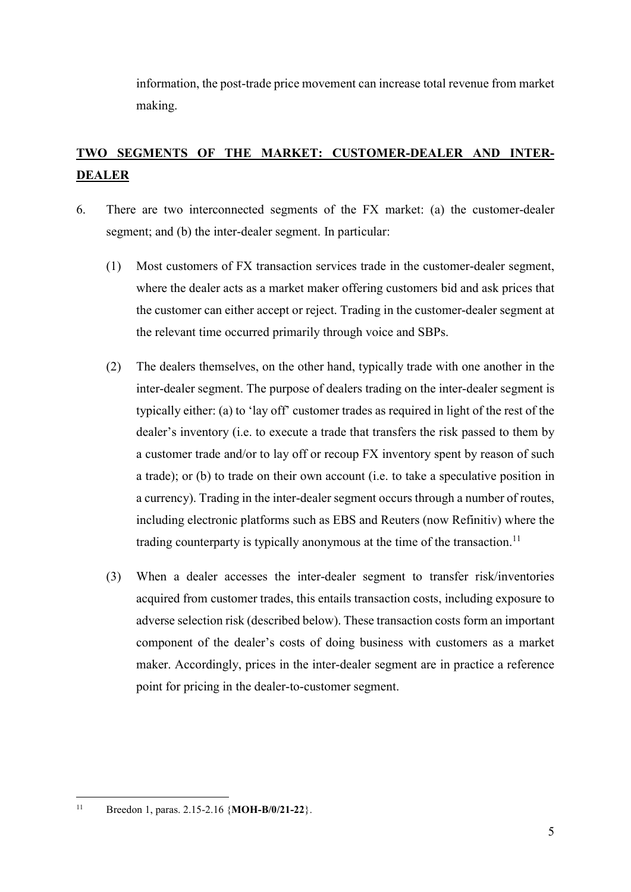information, the post-trade price movement can increase total revenue from market making.

# TWO SEGMENTS OF THE MARKET: CUSTOMER-DEALER AND INTER-DEALER

- 6. There are two interconnected segments of the FX market: (a) the customer-dealer segment; and (b) the inter-dealer segment. In particular:
	- (1) Most customers of FX transaction services trade in the customer-dealer segment, where the dealer acts as a market maker offering customers bid and ask prices that the customer can either accept or reject. Trading in the customer-dealer segment at the relevant time occurred primarily through voice and SBPs.
	- (2) The dealers themselves, on the other hand, typically trade with one another in the inter-dealer segment. The purpose of dealers trading on the inter-dealer segment is typically either: (a) to 'lay off' customer trades as required in light of the rest of the dealer's inventory (i.e. to execute a trade that transfers the risk passed to them by a customer trade and/or to lay off or recoup FX inventory spent by reason of such a trade); or (b) to trade on their own account (i.e. to take a speculative position in a currency). Trading in the inter-dealer segment occurs through a number of routes, including electronic platforms such as EBS and Reuters (now Refinitiv) where the trading counterparty is typically anonymous at the time of the transaction.<sup>11</sup>
	- (3) When a dealer accesses the inter-dealer segment to transfer risk/inventories acquired from customer trades, this entails transaction costs, including exposure to adverse selection risk (described below). These transaction costs form an important component of the dealer's costs of doing business with customers as a market maker. Accordingly, prices in the inter-dealer segment are in practice a reference point for pricing in the dealer-to-customer segment.

 $11$ Breedon 1, paras. 2.15-2.16 {MOH-B/0/21-22}.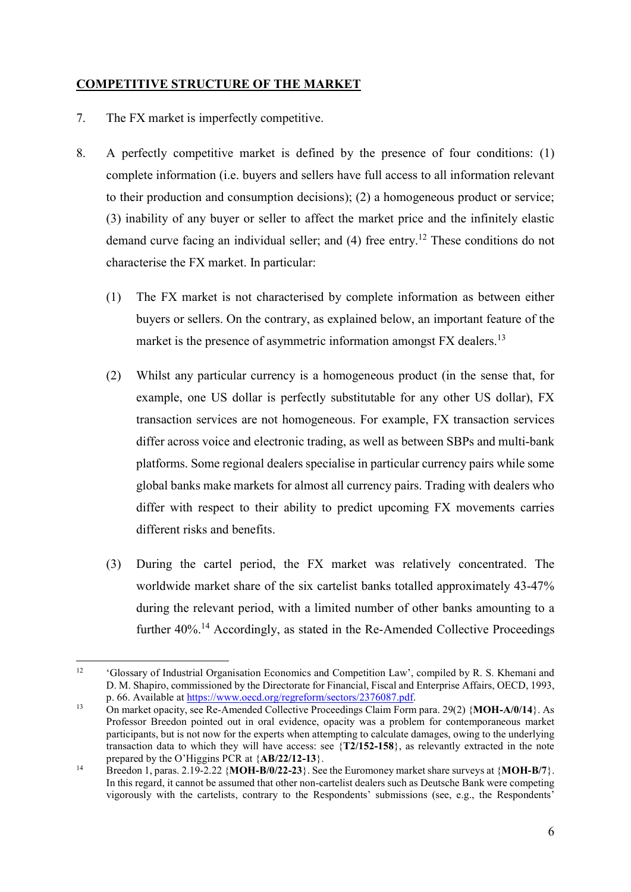## COMPETITIVE STRUCTURE OF THE MARKET

- 7. The FX market is imperfectly competitive.
- 8. A perfectly competitive market is defined by the presence of four conditions: (1) complete information (i.e. buyers and sellers have full access to all information relevant to their production and consumption decisions); (2) a homogeneous product or service; (3) inability of any buyer or seller to affect the market price and the infinitely elastic demand curve facing an individual seller; and (4) free entry.<sup>12</sup> These conditions do not characterise the FX market. In particular:
	- (1) The FX market is not characterised by complete information as between either buyers or sellers. On the contrary, as explained below, an important feature of the market is the presence of asymmetric information amongst FX dealers.<sup>13</sup>
	- (2) Whilst any particular currency is a homogeneous product (in the sense that, for example, one US dollar is perfectly substitutable for any other US dollar), FX transaction services are not homogeneous. For example, FX transaction services differ across voice and electronic trading, as well as between SBPs and multi-bank platforms. Some regional dealers specialise in particular currency pairs while some global banks make markets for almost all currency pairs. Trading with dealers who differ with respect to their ability to predict upcoming FX movements carries different risks and benefits.
	- (3) During the cartel period, the FX market was relatively concentrated. The worldwide market share of the six cartelist banks totalled approximately 43-47% during the relevant period, with a limited number of other banks amounting to a further 40%.<sup>14</sup> Accordingly, as stated in the Re-Amended Collective Proceedings

 $12$ 'Glossary of Industrial Organisation Economics and Competition Law', compiled by R. S. Khemani and D. M. Shapiro, commissioned by the Directorate for Financial, Fiscal and Enterprise Affairs, OECD, 1993, p. 66. Available at https://www.oecd.org/regreform/sectors/2376087.pdf.

<sup>&</sup>lt;sup>13</sup> On market opacity, see Re-Amended Collective Proceedings Claim Form para. 29(2) {MOH-A/0/14}. As Professor Breedon pointed out in oral evidence, opacity was a problem for contemporaneous market participants, but is not now for the experts when attempting to calculate damages, owing to the underlying transaction data to which they will have access: see {T2/152-158}, as relevantly extracted in the note prepared by the O'Higgins PCR at {AB/22/12-13}.

<sup>&</sup>lt;sup>14</sup> Breedon 1, paras. 2.19-2.22 {MOH-B/0/22-23}. See the Euromoney market share surveys at {MOH-B/7}. In this regard, it cannot be assumed that other non-cartelist dealers such as Deutsche Bank were competing vigorously with the cartelists, contrary to the Respondents' submissions (see, e.g., the Respondents'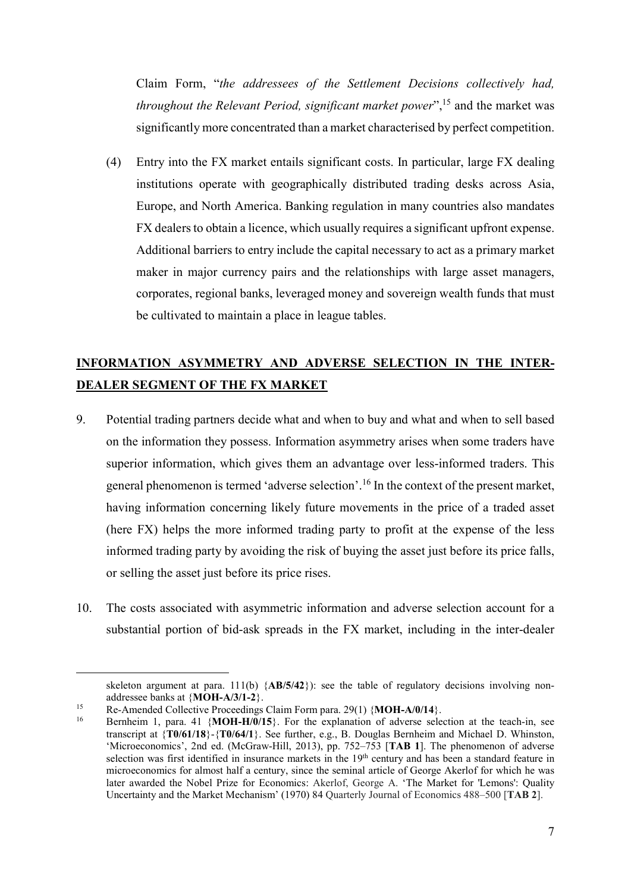Claim Form, "the addressees of the Settlement Decisions collectively had, throughout the Relevant Period, significant market power",<sup>15</sup> and the market was significantly more concentrated than a market characterised by perfect competition.

(4) Entry into the FX market entails significant costs. In particular, large FX dealing institutions operate with geographically distributed trading desks across Asia, Europe, and North America. Banking regulation in many countries also mandates FX dealers to obtain a licence, which usually requires a significant upfront expense. Additional barriers to entry include the capital necessary to act as a primary market maker in major currency pairs and the relationships with large asset managers, corporates, regional banks, leveraged money and sovereign wealth funds that must be cultivated to maintain a place in league tables.

## INFORMATION ASYMMETRY AND ADVERSE SELECTION IN THE INTER-DEALER SEGMENT OF THE FX MARKET

- 9. Potential trading partners decide what and when to buy and what and when to sell based on the information they possess. Information asymmetry arises when some traders have superior information, which gives them an advantage over less-informed traders. This general phenomenon is termed 'adverse selection'.<sup>16</sup> In the context of the present market, having information concerning likely future movements in the price of a traded asset (here FX) helps the more informed trading party to profit at the expense of the less informed trading party by avoiding the risk of buying the asset just before its price falls, or selling the asset just before its price rises.
- 10. The costs associated with asymmetric information and adverse selection account for a substantial portion of bid-ask spreads in the FX market, including in the inter-dealer

skeleton argument at para. 111(b)  ${AB/5/42}$ : see the table of regulatory decisions involving nonaddressee banks at {MOH-A/3/1-2}.

<sup>&</sup>lt;sup>15</sup> Re-Amended Collective Proceedings Claim Form para. 29(1)  $\{MOH-A/0/14\}$ .

Bernheim 1, para. 41  $\{MOH-H/0/15\}$ . For the explanation of adverse selection at the teach-in, see transcript at {T0/61/18}-{T0/64/1}. See further, e.g., B. Douglas Bernheim and Michael D. Whinston, 'Microeconomics', 2nd ed. (McGraw-Hill, 2013), pp. 752–753 [TAB 1]. The phenomenon of adverse selection was first identified in insurance markets in the 19<sup>th</sup> century and has been a standard feature in microeconomics for almost half a century, since the seminal article of George Akerlof for which he was later awarded the Nobel Prize for Economics: Akerlof, George A. 'The Market for 'Lemons': Quality Uncertainty and the Market Mechanism' (1970) 84 Quarterly Journal of Economics 488–500 [TAB 2].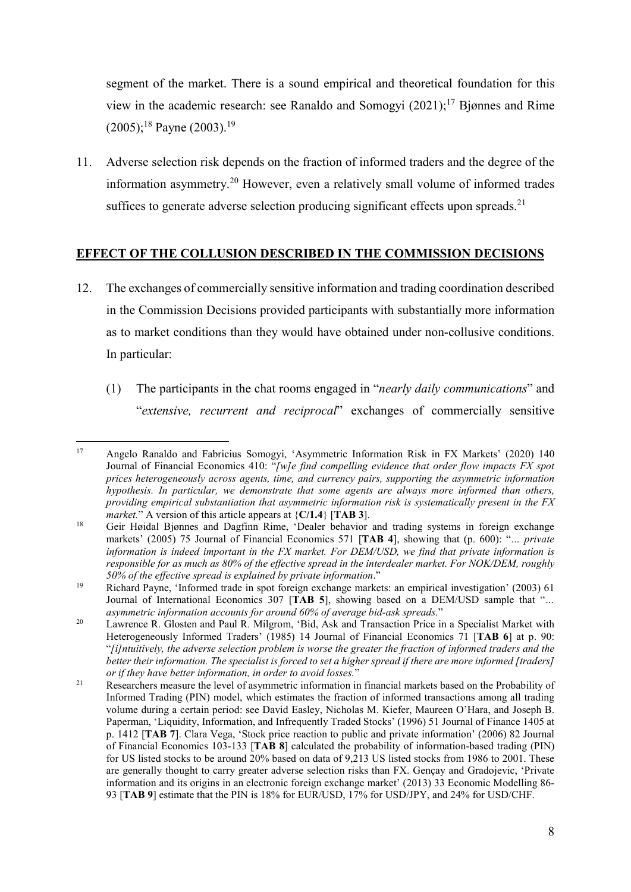segment of the market. There is a sound empirical and theoretical foundation for this view in the academic research: see Ranaldo and Somogyi  $(2021)$ ;<sup>17</sup> Bjønnes and Rime  $(2005);^{18}$  Payne  $(2003).^{19}$ 

11. Adverse selection risk depends on the fraction of informed traders and the degree of the information asymmetry.<sup>20</sup> However, even a relatively small volume of informed trades suffices to generate adverse selection producing significant effects upon spreads.<sup>21</sup>

## EFFECT OF THE COLLUSION DESCRIBED IN THE COMMISSION DECISIONS

- 12. The exchanges of commercially sensitive information and trading coordination described in the Commission Decisions provided participants with substantially more information as to market conditions than they would have obtained under non-collusive conditions. In particular:
	- (1) The participants in the chat rooms engaged in "nearly daily communications" and "extensive, recurrent and reciprocal" exchanges of commercially sensitive

 $17\,$ <sup>17</sup> Angelo Ranaldo and Fabricius Somogyi, 'Asymmetric Information Risk in FX Markets' (2020) 140 Journal of Financial Economics 410: "[w]e find compelling evidence that order flow impacts FX spot prices heterogeneously across agents, time, and currency pairs, supporting the asymmetric information hypothesis. In particular, we demonstrate that some agents are always more informed than others, providing empirical substantiation that asymmetric information risk is systematically present in the FX *market.*" A version of this article appears at  ${C/1.4}$  [TAB 3].

<sup>18</sup> Geir Høidal Bjønnes and Dagfinn Rime, 'Dealer behavior and trading systems in foreign exchange markets' (2005) 75 Journal of Financial Economics 571 [TAB 4], showing that (p. 600): "... private information is indeed important in the  $FX$  market. For  $DEM/USD$ , we find that private information is responsible for as much as 80% of the effective spread in the interdealer market. For NOK/DEM, roughly 50% of the effective spread is explained by private information."

<sup>19</sup> Richard Payne, 'Informed trade in spot foreign exchange markets: an empirical investigation' (2003) 61 Journal of International Economics 307 [TAB 5], showing based on a DEM/USD sample that "… asymmetric information accounts for around 60% of average bid-ask spreads."

<sup>&</sup>lt;sup>20</sup> Lawrence R. Glosten and Paul R. Milgrom, 'Bid, Ask and Transaction Price in a Specialist Market with Heterogeneously Informed Traders' (1985) 14 Journal of Financial Economics 71 [TAB 6] at p. 90: "[i]ntuitively, the adverse selection problem is worse the greater the fraction of informed traders and the better their information. The specialist is forced to set a higher spread if there are more informed [traders] or if they have better information, in order to avoid losses."

<sup>&</sup>lt;sup>21</sup> Researchers measure the level of asymmetric information in financial markets based on the Probability of Informed Trading (PIN) model, which estimates the fraction of informed transactions among all trading volume during a certain period: see David Easley, Nicholas M. Kiefer, Maureen O'Hara, and Joseph B. Paperman, 'Liquidity, Information, and Infrequently Traded Stocks' (1996) 51 Journal of Finance 1405 at p. 1412 [TAB 7]. Clara Vega, 'Stock price reaction to public and private information' (2006) 82 Journal of Financial Economics 103-133 [TAB 8] calculated the probability of information-based trading (PIN) for US listed stocks to be around 20% based on data of 9,213 US listed stocks from 1986 to 2001. These are generally thought to carry greater adverse selection risks than FX. Gençay and Gradojevic, 'Private information and its origins in an electronic foreign exchange market' (2013) 33 Economic Modelling 86- 93 [TAB 9] estimate that the PIN is 18% for EUR/USD, 17% for USD/JPY, and 24% for USD/CHF.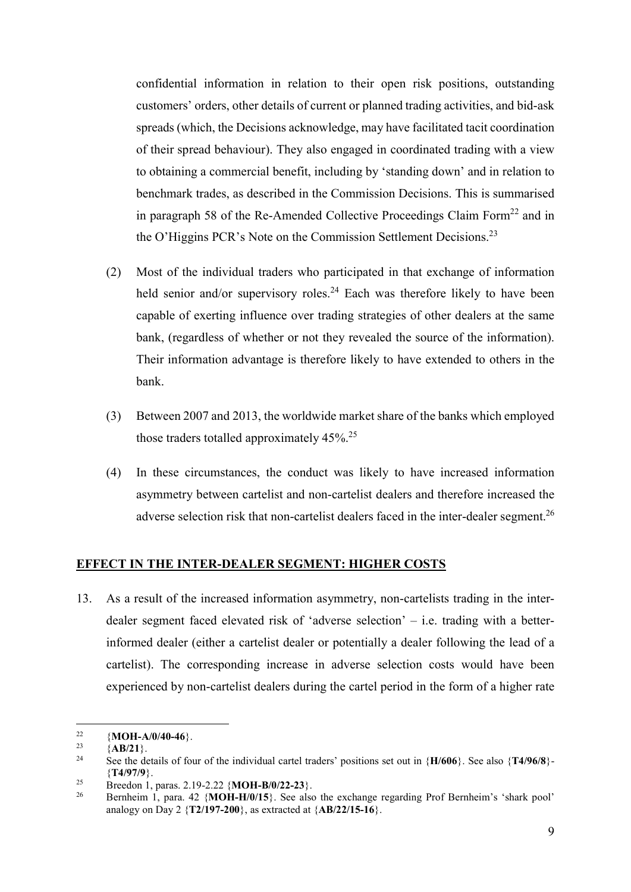confidential information in relation to their open risk positions, outstanding customers' orders, other details of current or planned trading activities, and bid-ask spreads (which, the Decisions acknowledge, may have facilitated tacit coordination of their spread behaviour). They also engaged in coordinated trading with a view to obtaining a commercial benefit, including by 'standing down' and in relation to benchmark trades, as described in the Commission Decisions. This is summarised in paragraph 58 of the Re-Amended Collective Proceedings Claim Form<sup>22</sup> and in the O'Higgins PCR's Note on the Commission Settlement Decisions.<sup>23</sup>

- (2) Most of the individual traders who participated in that exchange of information held senior and/or supervisory roles.<sup>24</sup> Each was therefore likely to have been capable of exerting influence over trading strategies of other dealers at the same bank, (regardless of whether or not they revealed the source of the information). Their information advantage is therefore likely to have extended to others in the bank.
- (3) Between 2007 and 2013, the worldwide market share of the banks which employed those traders totalled approximately 45%.<sup>25</sup>
- (4) In these circumstances, the conduct was likely to have increased information asymmetry between cartelist and non-cartelist dealers and therefore increased the adverse selection risk that non-cartelist dealers faced in the inter-dealer segment.<sup>26</sup>

#### EFFECT IN THE INTER-DEALER SEGMENT: HIGHER COSTS

13. As a result of the increased information asymmetry, non-cartelists trading in the interdealer segment faced elevated risk of 'adverse selection' – i.e. trading with a betterinformed dealer (either a cartelist dealer or potentially a dealer following the lead of a cartelist). The corresponding increase in adverse selection costs would have been experienced by non-cartelist dealers during the cartel period in the form of a higher rate

 $22$ <sup>22</sup> {**MOH-A/0/40-46**}.<br><sup>23</sup> {**AP/21**}

 $^{23}_{24}$  {AB/21}.

See the details of four of the individual cartel traders' positions set out in  ${H/606}$ . See also  ${T4/96/8}$ . {T4/97/9}.

<sup>&</sup>lt;sup>25</sup> Breedon 1, paras. 2.19-2.22 {**MOH-B/0/22-23**}.<br><sup>26</sup> Bernhaim 1, para. 42 (**MOH H/0/15**). See also

<sup>26</sup> Bernheim 1, para. 42 {MOH-H/0/15}. See also the exchange regarding Prof Bernheim's 'shark pool' analogy on Day 2  ${T2/197-200}$ , as extracted at  ${AB/22/15-16}$ .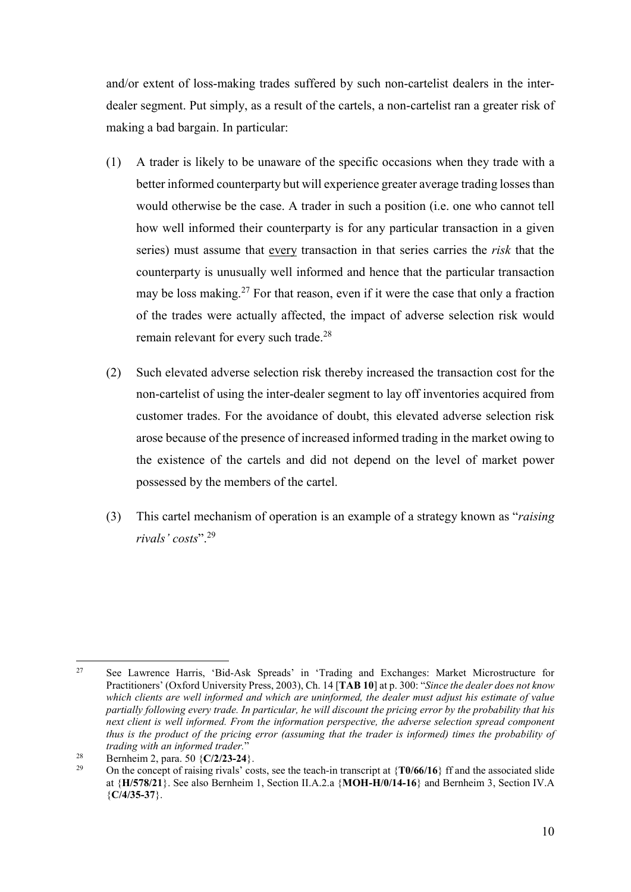and/or extent of loss-making trades suffered by such non-cartelist dealers in the interdealer segment. Put simply, as a result of the cartels, a non-cartelist ran a greater risk of making a bad bargain. In particular:

- (1) A trader is likely to be unaware of the specific occasions when they trade with a better informed counterparty but will experience greater average trading losses than would otherwise be the case. A trader in such a position (i.e. one who cannot tell how well informed their counterparty is for any particular transaction in a given series) must assume that every transaction in that series carries the *risk* that the counterparty is unusually well informed and hence that the particular transaction may be loss making.<sup>27</sup> For that reason, even if it were the case that only a fraction of the trades were actually affected, the impact of adverse selection risk would remain relevant for every such trade.<sup>28</sup>
- (2) Such elevated adverse selection risk thereby increased the transaction cost for the non-cartelist of using the inter-dealer segment to lay off inventories acquired from customer trades. For the avoidance of doubt, this elevated adverse selection risk arose because of the presence of increased informed trading in the market owing to the existence of the cartels and did not depend on the level of market power possessed by the members of the cartel.
- (3) This cartel mechanism of operation is an example of a strategy known as "raising rivals' costs".<sup>29</sup>

 $27$ <sup>27</sup> See Lawrence Harris, 'Bid-Ask Spreads' in 'Trading and Exchanges: Market Microstructure for Practitioners' (Oxford University Press, 2003), Ch. 14 [TAB 10] at p. 300: "Since the dealer does not know which clients are well informed and which are uninformed, the dealer must adjust his estimate of value partially following every trade. In particular, he will discount the pricing error by the probability that his next client is well informed. From the information perspective, the adverse selection spread component thus is the product of the pricing error (assuming that the trader is informed) times the probability of trading with an informed trader."

<sup>&</sup>lt;sup>28</sup> Bernheim 2, para. 50  $\{C/2/23-24\}$ .<br><sup>29</sup> On the concent of mining given it.

On the concept of raising rivals' costs, see the teach-in transcript at  $\{T0/66/16\}$  ff and the associated slide at {H/578/21}. See also Bernheim 1, Section II.A.2.a {MOH-H/0/14-16} and Bernheim 3, Section IV.A  ${C/4/35-37}$ .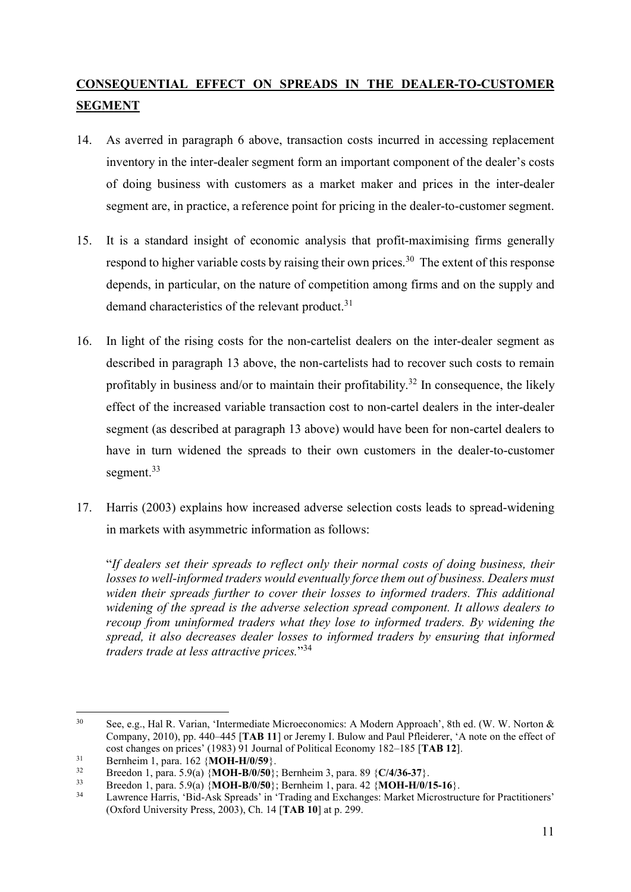## CONSEQUENTIAL EFFECT ON SPREADS IN THE DEALER-TO-CUSTOMER SEGMENT

- 14. As averred in paragraph 6 above, transaction costs incurred in accessing replacement inventory in the inter-dealer segment form an important component of the dealer's costs of doing business with customers as a market maker and prices in the inter-dealer segment are, in practice, a reference point for pricing in the dealer-to-customer segment.
- 15. It is a standard insight of economic analysis that profit-maximising firms generally respond to higher variable costs by raising their own prices.<sup>30</sup> The extent of this response depends, in particular, on the nature of competition among firms and on the supply and demand characteristics of the relevant product.<sup>31</sup>
- 16. In light of the rising costs for the non-cartelist dealers on the inter-dealer segment as described in paragraph 13 above, the non-cartelists had to recover such costs to remain profitably in business and/or to maintain their profitability.<sup>32</sup> In consequence, the likely effect of the increased variable transaction cost to non-cartel dealers in the inter-dealer segment (as described at paragraph 13 above) would have been for non-cartel dealers to have in turn widened the spreads to their own customers in the dealer-to-customer segment.<sup>33</sup>
- 17. Harris (2003) explains how increased adverse selection costs leads to spread-widening in markets with asymmetric information as follows:

"If dealers set their spreads to reflect only their normal costs of doing business, their losses to well-informed traders would eventually force them out of business. Dealers must widen their spreads further to cover their losses to informed traders. This additional widening of the spread is the adverse selection spread component. It allows dealers to recoup from uninformed traders what they lose to informed traders. By widening the spread, it also decreases dealer losses to informed traders by ensuring that informed traders trade at less attractive prices."<sup>34</sup>

<sup>-</sup><sup>30</sup> See, e.g., Hal R. Varian, 'Intermediate Microeconomics: A Modern Approach', 8th ed. (W. W. Norton & Company, 2010), pp. 440–445 [TAB 11] or Jeremy I. Bulow and Paul Pfleiderer, 'A note on the effect of cost changes on prices' (1983) 91 Journal of Political Economy 182–185 [TAB 12].

 $31$  Bernheim 1, para. 162 {**MOH-H/0/59**}.<br> $32$  Braadan 1, name 5.0(a) **MOH B/0/50**}

<sup>32</sup> Breedon 1, para. 5.9(a) {**MOH-B/0/50**}; Bernheim 3, para. 89 {C/4/36-37}.<br>Breedon 1, para. 5.9(a) {**MOH\_B/0/50**}; Bernheim 1, para. 42 {**MOH\_H/0/1**}

 $33$  Breedon 1, para. 5.9(a)  $\{MOH-B/0/50\}$ ; Bernheim 1, para. 42  $\{MOH-H/0/15-16\}$ .<br> $34$  I surronse Herris (Bid Ack Spreeds) in Trading and Exchanges: Merket Microstrue

Lawrence Harris, 'Bid-Ask Spreads' in 'Trading and Exchanges: Market Microstructure for Practitioners' (Oxford University Press, 2003), Ch. 14 [TAB 10] at p. 299.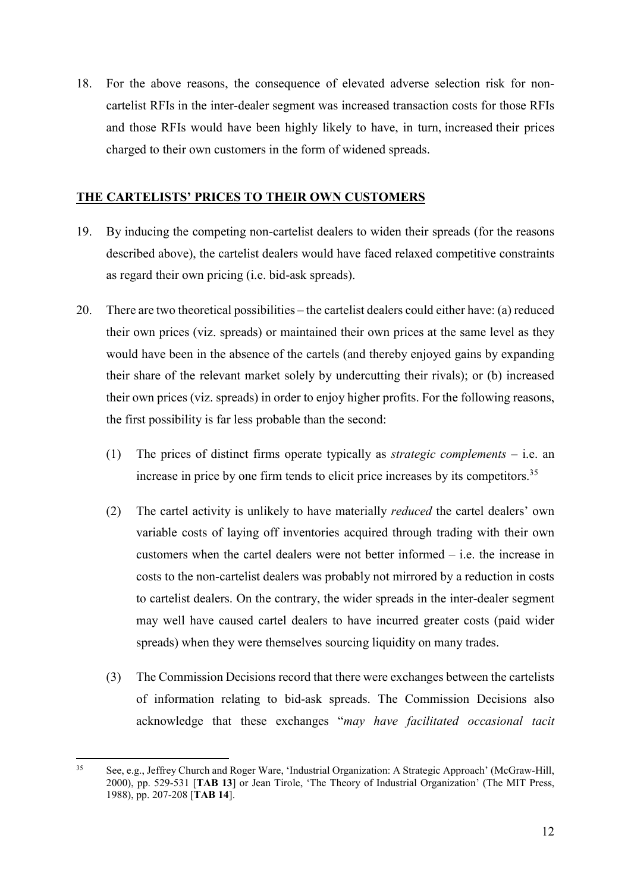18. For the above reasons, the consequence of elevated adverse selection risk for noncartelist RFIs in the inter-dealer segment was increased transaction costs for those RFIs and those RFIs would have been highly likely to have, in turn, increased their prices charged to their own customers in the form of widened spreads.

### THE CARTELISTS' PRICES TO THEIR OWN CUSTOMERS

- 19. By inducing the competing non-cartelist dealers to widen their spreads (for the reasons described above), the cartelist dealers would have faced relaxed competitive constraints as regard their own pricing (i.e. bid-ask spreads).
- 20. There are two theoretical possibilities the cartelist dealers could either have: (a) reduced their own prices (viz. spreads) or maintained their own prices at the same level as they would have been in the absence of the cartels (and thereby enjoyed gains by expanding their share of the relevant market solely by undercutting their rivals); or (b) increased their own prices (viz. spreads) in order to enjoy higher profits. For the following reasons, the first possibility is far less probable than the second:
	- (1) The prices of distinct firms operate typically as *strategic complements* i.e. an increase in price by one firm tends to elicit price increases by its competitors.<sup>35</sup>
	- (2) The cartel activity is unlikely to have materially reduced the cartel dealers' own variable costs of laying off inventories acquired through trading with their own customers when the cartel dealers were not better informed – i.e. the increase in costs to the non-cartelist dealers was probably not mirrored by a reduction in costs to cartelist dealers. On the contrary, the wider spreads in the inter-dealer segment may well have caused cartel dealers to have incurred greater costs (paid wider spreads) when they were themselves sourcing liquidity on many trades.
	- (3) The Commission Decisions record that there were exchanges between the cartelists of information relating to bid-ask spreads. The Commission Decisions also acknowledge that these exchanges "may have facilitated occasional tacit

<sup>35</sup> See, e.g., Jeffrey Church and Roger Ware, 'Industrial Organization: A Strategic Approach' (McGraw-Hill, 2000), pp. 529-531 [TAB 13] or Jean Tirole, 'The Theory of Industrial Organization' (The MIT Press, 1988), pp. 207-208 [TAB 14].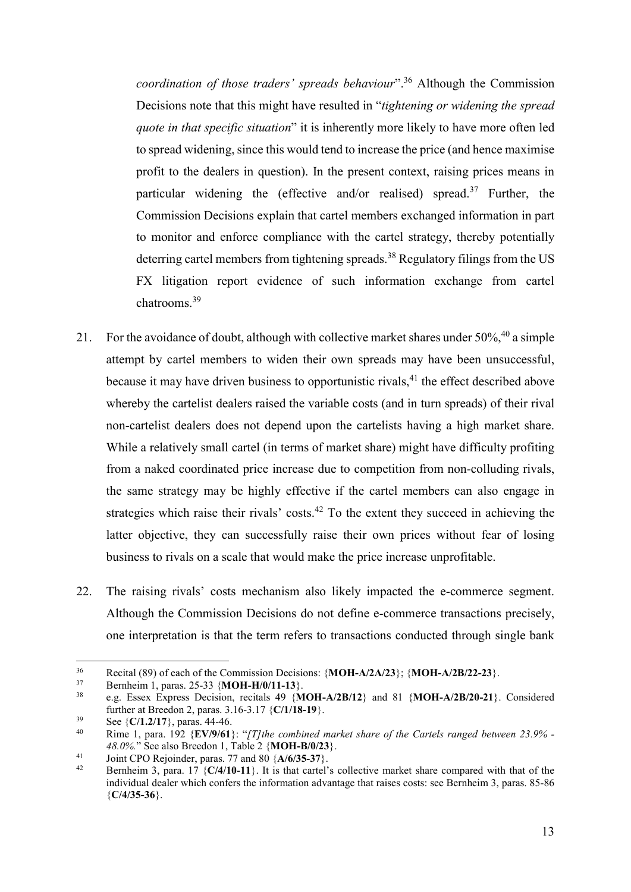coordination of those traders' spreads behaviour".<sup>36</sup> Although the Commission Decisions note that this might have resulted in "tightening or widening the spread quote in that specific situation" it is inherently more likely to have more often led to spread widening, since this would tend to increase the price (and hence maximise profit to the dealers in question). In the present context, raising prices means in particular widening the (effective and/or realised) spread.<sup>37</sup> Further, the Commission Decisions explain that cartel members exchanged information in part to monitor and enforce compliance with the cartel strategy, thereby potentially deterring cartel members from tightening spreads.<sup>38</sup> Regulatory filings from the US FX litigation report evidence of such information exchange from cartel chatrooms.<sup>39</sup>

- 21. For the avoidance of doubt, although with collective market shares under  $50\%$ ,  $40$  a simple attempt by cartel members to widen their own spreads may have been unsuccessful, because it may have driven business to opportunistic rivals,  $4<sup>1</sup>$  the effect described above whereby the cartelist dealers raised the variable costs (and in turn spreads) of their rival non-cartelist dealers does not depend upon the cartelists having a high market share. While a relatively small cartel (in terms of market share) might have difficulty profiting from a naked coordinated price increase due to competition from non-colluding rivals, the same strategy may be highly effective if the cartel members can also engage in strategies which raise their rivals' costs. $42$  To the extent they succeed in achieving the latter objective, they can successfully raise their own prices without fear of losing business to rivals on a scale that would make the price increase unprofitable.
- 22. The raising rivals' costs mechanism also likely impacted the e-commerce segment. Although the Commission Decisions do not define e-commerce transactions precisely, one interpretation is that the term refers to transactions conducted through single bank

 $36<sup>°</sup>$ <sup>36</sup> Recital (89) of each of the Commission Decisions: {MOH-A/2A/23}; {MOH-A/2B/22-23}.<br><sup>37</sup> Reprise in 1 names 25-33 {MOH-H/0/11-13}

<sup>&</sup>lt;sup>37</sup> Bernheim 1, paras. 25-33  $\{MOH-H/0/11-13\}$ .<br><sup>38</sup> e.g. Essex Express Decision recitals 49  $/M$ 

e.g. Essex Express Decision, recitals 49 {MOH-A/2B/12} and 81 {MOH-A/2B/20-21}. Considered further at Breedon 2, paras. 3.16-3.17 {C/1/18-19}.

<sup>&</sup>lt;sup>39</sup> See  $\{C/1.2/17\}$ , paras. 44-46.

Rime 1, para. 192 {EV/9/61}: "[T]the combined market share of the Cartels ranged between 23.9% -48.0%." See also Breedon 1, Table 2 {MOH-B/0/23}.

<sup>&</sup>lt;sup>41</sup> Joint CPO Rejoinder, paras. 77 and 80  $\{A/6/35-37\}$ .

Bernheim 3, para. 17  ${C/4/10-11}$ . It is that cartel's collective market share compared with that of the individual dealer which confers the information advantage that raises costs: see Bernheim 3, paras. 85-86  ${C/4/35-36}$ .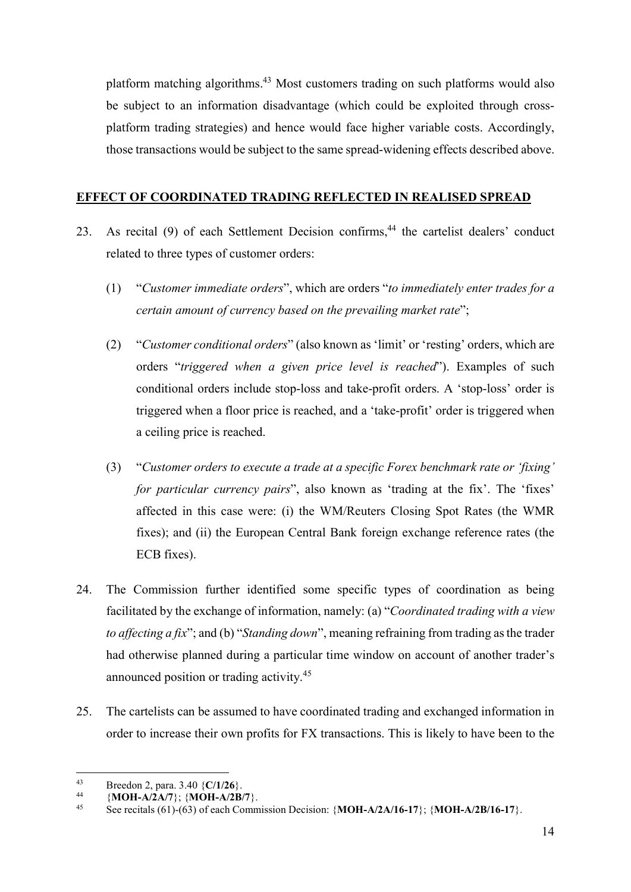platform matching algorithms.<sup>43</sup> Most customers trading on such platforms would also be subject to an information disadvantage (which could be exploited through crossplatform trading strategies) and hence would face higher variable costs. Accordingly, those transactions would be subject to the same spread-widening effects described above.

## EFFECT OF COORDINATED TRADING REFLECTED IN REALISED SPREAD

- 23. As recital (9) of each Settlement Decision confirms,<sup>44</sup> the cartelist dealers' conduct related to three types of customer orders:
	- (1) "Customer immediate orders", which are orders "to immediately enter trades for a certain amount of currency based on the prevailing market rate";
	- (2) "Customer conditional orders" (also known as 'limit' or 'resting' orders, which are orders "triggered when a given price level is reached"). Examples of such conditional orders include stop-loss and take-profit orders. A 'stop-loss' order is triggered when a floor price is reached, and a 'take-profit' order is triggered when a ceiling price is reached.
	- (3) "Customer orders to execute a trade at a specific Forex benchmark rate or 'fixing' for particular currency pairs", also known as 'trading at the fix'. The 'fixes' affected in this case were: (i) the WM/Reuters Closing Spot Rates (the WMR fixes); and (ii) the European Central Bank foreign exchange reference rates (the ECB fixes).
- 24. The Commission further identified some specific types of coordination as being facilitated by the exchange of information, namely: (a) "Coordinated trading with a view to affecting a fix"; and (b) "Standing down", meaning refraining from trading as the trader had otherwise planned during a particular time window on account of another trader's announced position or trading activity.<sup>45</sup>
- 25. The cartelists can be assumed to have coordinated trading and exchanged information in order to increase their own profits for FX transactions. This is likely to have been to the

 $43$ <sup>43</sup> Breedon 2, para. 3.40  $\{C/1/26\}$ .<br><sup>44</sup> (MOH A/2A/7): (MOH A/2B)

<sup>44 {</sup>MOH-A/2A/7}; {MOH-A/2B/7}.

See recitals (61)-(63) of each Commission Decision:  $\{MOH-A/2A/16-17\}$ ;  $\{MOH-A/2B/16-17\}$ .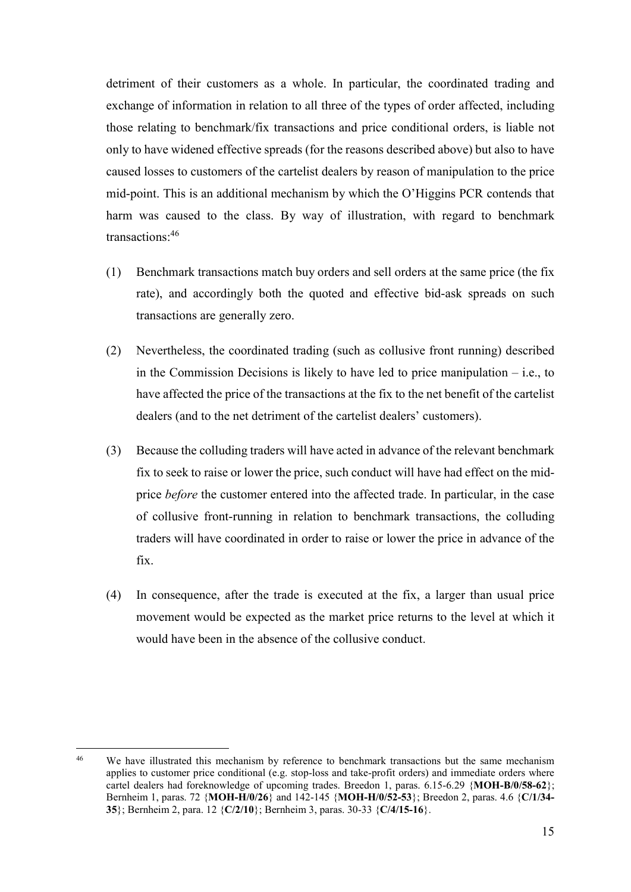detriment of their customers as a whole. In particular, the coordinated trading and exchange of information in relation to all three of the types of order affected, including those relating to benchmark/fix transactions and price conditional orders, is liable not only to have widened effective spreads (for the reasons described above) but also to have caused losses to customers of the cartelist dealers by reason of manipulation to the price mid-point. This is an additional mechanism by which the O'Higgins PCR contends that harm was caused to the class. By way of illustration, with regard to benchmark transactions:<sup>46</sup>

- (1) Benchmark transactions match buy orders and sell orders at the same price (the fix rate), and accordingly both the quoted and effective bid-ask spreads on such transactions are generally zero.
- (2) Nevertheless, the coordinated trading (such as collusive front running) described in the Commission Decisions is likely to have led to price manipulation – i.e., to have affected the price of the transactions at the fix to the net benefit of the cartelist dealers (and to the net detriment of the cartelist dealers' customers).
- (3) Because the colluding traders will have acted in advance of the relevant benchmark fix to seek to raise or lower the price, such conduct will have had effect on the midprice *before* the customer entered into the affected trade. In particular, in the case of collusive front-running in relation to benchmark transactions, the colluding traders will have coordinated in order to raise or lower the price in advance of the fix.
- (4) In consequence, after the trade is executed at the fix, a larger than usual price movement would be expected as the market price returns to the level at which it would have been in the absence of the collusive conduct.

<sup>&</sup>lt;sup>46</sup> We have illustrated this mechanism by reference to benchmark transactions but the same mechanism applies to customer price conditional (e.g. stop-loss and take-profit orders) and immediate orders where cartel dealers had foreknowledge of upcoming trades. Breedon 1, paras. 6.15-6.29 {MOH-B/0/58-62}; Bernheim 1, paras. 72 {MOH-H/0/26} and 142-145 {MOH-H/0/52-53}; Breedon 2, paras. 4.6 {C/1/34- 35}; Bernheim 2, para. 12 {C/2/10}; Bernheim 3, paras. 30-33 {C/4/15-16}.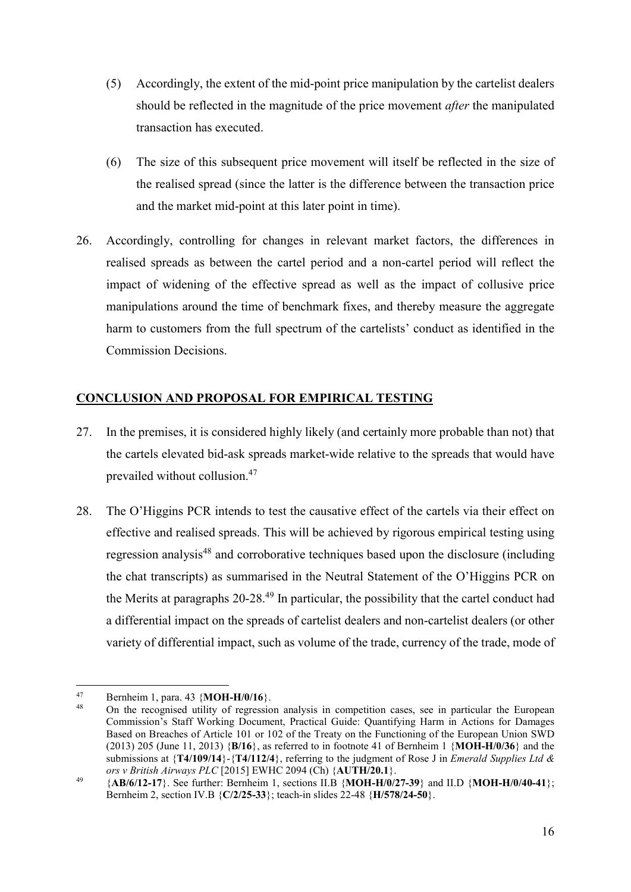- (5) Accordingly, the extent of the mid-point price manipulation by the cartelist dealers should be reflected in the magnitude of the price movement *after* the manipulated transaction has executed.
- (6) The size of this subsequent price movement will itself be reflected in the size of the realised spread (since the latter is the difference between the transaction price and the market mid-point at this later point in time).
- 26. Accordingly, controlling for changes in relevant market factors, the differences in realised spreads as between the cartel period and a non-cartel period will reflect the impact of widening of the effective spread as well as the impact of collusive price manipulations around the time of benchmark fixes, and thereby measure the aggregate harm to customers from the full spectrum of the cartelists' conduct as identified in the Commission Decisions.

## CONCLUSION AND PROPOSAL FOR EMPIRICAL TESTING

- 27. In the premises, it is considered highly likely (and certainly more probable than not) that the cartels elevated bid-ask spreads market-wide relative to the spreads that would have prevailed without collusion.<sup>47</sup>
- 28. The O'Higgins PCR intends to test the causative effect of the cartels via their effect on effective and realised spreads. This will be achieved by rigorous empirical testing using regression analysis<sup>48</sup> and corroborative techniques based upon the disclosure (including the chat transcripts) as summarised in the Neutral Statement of the O'Higgins PCR on the Merits at paragraphs  $20-28<sup>49</sup>$  In particular, the possibility that the cartel conduct had a differential impact on the spreads of cartelist dealers and non-cartelist dealers (or other variety of differential impact, such as volume of the trade, currency of the trade, mode of

<sup>-</sup><sup>47</sup> Bernheim 1, para. 43  ${MOH-H/0/16}$ .

<sup>48</sup> On the recognised utility of regression analysis in competition cases, see in particular the European Commission's Staff Working Document, Practical Guide: Quantifying Harm in Actions for Damages Based on Breaches of Article 101 or 102 of the Treaty on the Functioning of the European Union SWD (2013) 205 (June 11, 2013)  ${B/16}$ , as referred to in footnote 41 of Bernheim 1  ${MOH-H/0/36}$  and the submissions at  ${T4/109/14}$ - ${T4/112/4}$ , referring to the judgment of Rose J in *Emerald Supplies Ltd &* ors v British Airways PLC [2015] EWHC 2094 (Ch) {AUTH/20.1}.

 $^{49}$  {AB/6/12-17}. See further: Bernheim 1, sections II.B {MOH-H/0/27-39} and II.D {MOH-H/0/40-41}; Bernheim 2, section IV.B {C/2/25-33}; teach-in slides 22-48 {H/578/24-50}.